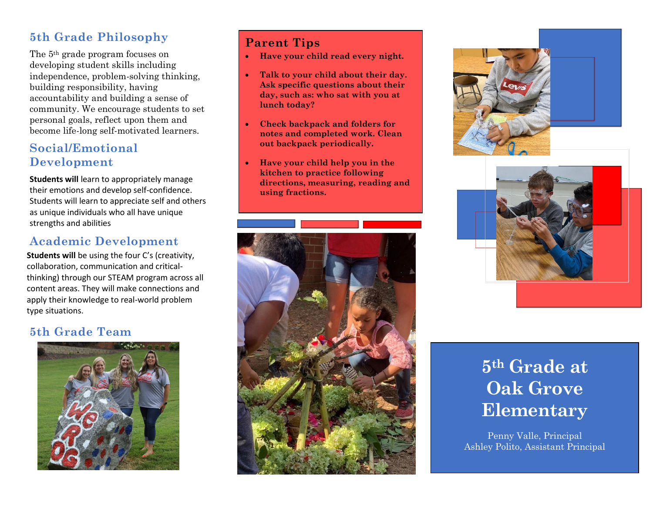## **5th Grade Philosophy**

The 5th grade program focuses on developing student skills including independence, problem-solving thinking, building responsibility, having accountability and building a sense of community. We encourage students to set personal goals, reflect upon them and become life-long self-motivated learners.

## **Social/Emotional Development**

**Students will** learn to appropriately manage their emotions and develop self-confidence. Students will learn to appreciate self and others as unique individuals who all have unique strengths and abilities

# **Academic Development**

**Students will** be using the four C's (creativity, collaboration, communication and criticalthinking) through our STEAM program across all content areas. They will make connections and apply their knowledge to real-world problem type situations.

## **5th Grade Team**



## **Parent Tips**

- **Have your child read every night.**
- **Talk to your child about their day. Ask specific questions about their day, such as: who sat with you at lunch today?**
- **Check backpack and folders for notes and completed work. Clean out backpack periodically.**
- **Have your child help you in the kitchen to practice following directions, measuring, reading and using fractions.**







# **5th Grade at Oak Grove Elementary**

Penny Valle, Principal Ashley Polito, Assistant Principal